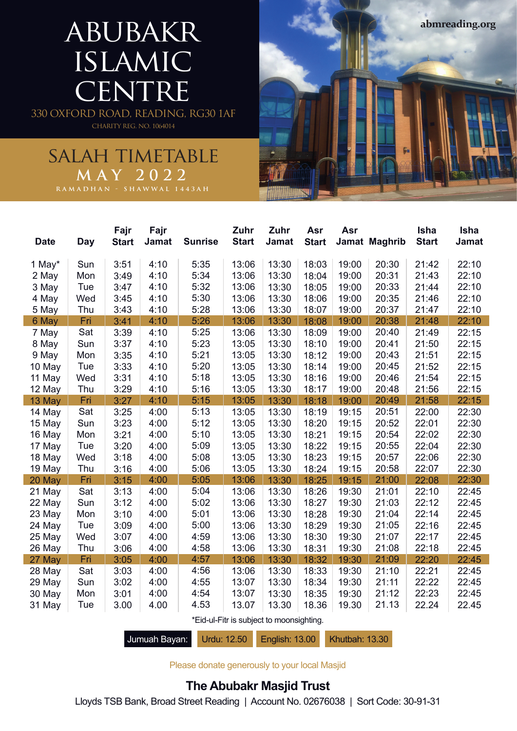# abubakr islamic **CENTRE**

330 OXFORD ROAD, READING, RG30 1AF CHARITY REG. NO. 1064014

### salah timetable **MAY 2022**

| <b>Date</b>                              | <b>Day</b> | Fajr<br><b>Start</b> | Fajr<br><b>Jamat</b> | <b>Sunrise</b> | Zuhr<br><b>Start</b> | Zuhr<br>Jamat | Asr<br><b>Start</b> | Asr   | Jamat Maghrib | <b>Isha</b><br><b>Start</b> | <b>Isha</b><br>Jamat |
|------------------------------------------|------------|----------------------|----------------------|----------------|----------------------|---------------|---------------------|-------|---------------|-----------------------------|----------------------|
| 1 May*                                   | Sun        | 3:51                 | 4:10                 | 5:35           | 13:06                | 13:30         | 18:03               | 19:00 | 20:30         | 21:42                       | 22:10                |
| 2 May                                    | Mon        | 3:49                 | 4:10                 | 5:34           | 13:06                | 13:30         | 18:04               | 19:00 | 20:31         | 21:43                       | 22:10                |
| 3 May                                    | Tue        | 3:47                 | 4:10                 | 5:32           | 13:06                | 13:30         | 18:05               | 19:00 | 20:33         | 21:44                       | 22:10                |
| 4 May                                    | Wed        | 3:45                 | 4:10                 | 5:30           | 13:06                | 13:30         | 18:06               | 19:00 | 20:35         | 21:46                       | 22:10                |
| 5 May                                    | Thu        | 3:43                 | 4:10                 | 5:28           | 13:06                | 13:30         | 18:07               | 19:00 | 20:37         | 21:47                       | 22:10                |
| 6 May                                    | Fri        | 3:41                 | 4:10                 | 5:26           | 13:06                | 13:30         | 18:08               | 19:00 | 20:38         | 21:48                       | 22:10                |
| 7 May                                    | Sat        | 3:39                 | 4:10                 | 5:25           | 13:06                | 13:30         | 18:09               | 19:00 | 20:40         | 21:49                       | 22:15                |
| 8 May                                    | Sun        | 3:37                 | 4:10                 | 5:23           | 13:05                | 13:30         | 18:10               | 19:00 | 20:41         | 21:50                       | 22:15                |
| 9 May                                    | Mon        | 3:35                 | 4:10                 | 5:21           | 13:05                | 13:30         | 18:12               | 19:00 | 20:43         | 21:51                       | 22:15                |
| 10 May                                   | Tue        | 3:33                 | 4:10                 | 5:20           | 13:05                | 13:30         | 18:14               | 19:00 | 20:45         | 21:52                       | 22:15                |
| 11 May                                   | Wed        | 3:31                 | 4:10                 | 5:18           | 13:05                | 13:30         | 18:16               | 19:00 | 20:46         | 21:54                       | 22:15                |
| 12 May                                   | Thu        | 3:29                 | 4:10                 | 5:16           | 13:05                | 13:30         | 18:17               | 19:00 | 20:48         | 21:56                       | 22:15                |
| 13 May                                   | Fri        | 3:27                 | 4:10                 | 5:15           | 13:05                | 13:30         | 18:18               | 19:00 | 20:49         | 21:58                       | 22:15                |
| 14 May                                   | Sat        | 3:25                 | 4:00                 | 5:13           | 13:05                | 13:30         | 18:19               | 19:15 | 20:51         | 22:00                       | 22:30                |
| 15 May                                   | Sun        | 3:23                 | 4:00                 | 5:12           | 13:05                | 13:30         | 18:20               | 19:15 | 20:52         | 22:01                       | 22:30                |
| 16 May                                   | Mon        | 3:21                 | 4:00                 | 5:10           | 13:05                | 13:30         | 18:21               | 19:15 | 20:54         | 22:02                       | 22:30                |
| 17 May                                   | Tue        | 3:20                 | 4:00                 | 5:09           | 13:05                | 13:30         | 18:22               | 19:15 | 20:55         | 22:04                       | 22:30                |
| 18 May                                   | Wed        | 3:18                 | 4:00                 | 5:08           | 13:05                | 13:30         | 18:23               | 19:15 | 20:57         | 22:06                       | 22:30                |
| 19 May                                   | Thu        | 3:16                 | 4:00                 | 5:06           | 13:05                | 13:30         | 18:24               | 19:15 | 20:58         | 22:07                       | 22:30                |
| 20 May                                   | Fri        | 3:15                 | 4:00                 | 5:05           | 13:06                | 13:30         | 18:25               | 19:15 | 21:00         | 22:08                       | 22:30                |
| 21 May                                   | Sat        | 3:13                 | 4:00                 | 5:04           | 13:06                | 13:30         | 18:26               | 19:30 | 21:01         | 22:10                       | 22:45                |
| 22 May                                   | Sun        | 3:12                 | 4:00                 | 5:02           | 13:06                | 13:30         | 18:27               | 19:30 | 21:03         | 22:12                       | 22:45                |
| 23 May                                   | Mon        | 3:10                 | 4:00                 | 5:01           | 13:06                | 13:30         | 18:28               | 19:30 | 21:04         | 22:14                       | 22:45                |
| 24 May                                   | Tue        | 3:09                 | 4:00                 | 5:00           | 13:06                | 13:30         | 18:29               | 19:30 | 21:05         | 22:16                       | 22:45                |
| 25 May                                   | Wed        | 3:07                 | 4:00                 | 4:59           | 13:06                | 13:30         | 18:30               | 19:30 | 21:07         | 22:17                       | 22:45                |
| 26 May                                   | Thu        | 3:06                 | 4:00                 | 4:58           | 13:06                | 13:30         | 18:31               | 19:30 | 21:08         | 22:18                       | 22:45                |
| 27 May                                   | Fri        | 3:05                 | 4:00                 | 4:57           | 13:06                | 13:30         | 18:32               | 19:30 | 21:09         | 22:20                       | 22:45                |
| 28 May                                   | Sat        | 3:03                 | 4:00                 | 4:56           | 13:06                | 13:30         | 18:33               | 19:30 | 21:10         | 22:21                       | 22:45                |
| 29 May                                   | Sun        | 3:02                 | 4:00                 | 4:55           | 13:07                | 13:30         | 18:34               | 19:30 | 21:11         | 22:22                       | 22:45                |
| 30 May                                   | Mon        | 3:01                 | 4:00                 | 4:54           | 13:07                | 13:30         | 18:35               | 19:30 | 21:12         | 22:23                       | 22:45                |
| 31 May                                   | Tue        | 3.00                 | 4.00                 | 4.53           | 13.07                | 13.30         | 18.36               | 19.30 | 21.13         | 22.24                       | 22.45                |
| *Eid-ul-Fitr is subject to moonsighting. |            |                      |                      |                |                      |               |                     |       |               |                             |                      |

**abmreading.org**

Jumuah Bayan: Urdu: 12.50 English: 13.00 Khutbah: 13.30

Please donate generously to your local Masjid

#### **The Abubakr Masjid Trust**

Lloyds TSB Bank, Broad Street Reading | Account No. 02676038 | Sort Code: 30-91-31